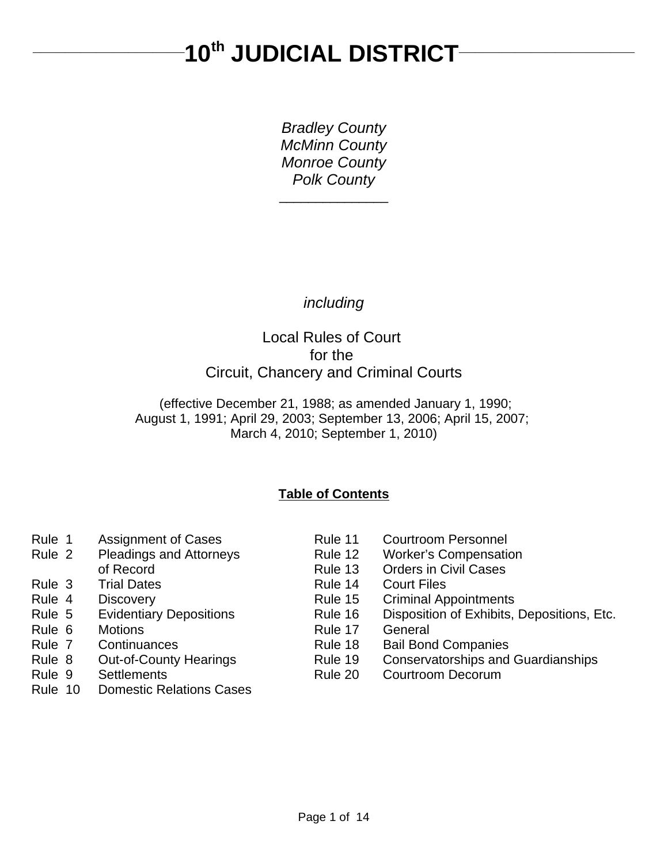# 10<sup>th</sup> JUDICIAL DISTRICT-

*Bradley County McMinn County Monroe County Polk County* \_\_\_\_\_\_\_\_\_\_\_\_\_\_\_

*including*

# Local Rules of Court for the Circuit, Chancery and Criminal Courts

 (effective December 21, 1988; as amended January 1, 1990; August 1, 1991; April 29, 2003; September 13, 2006; April 15, 2007; March 4, 2010; September 1, 2010)

# **Table of Contents**

- 
- 
- 
- 
- 
- 
- 
- 
- 
- 
- Rule 10 Domestic Relations Cases
- Rule 1 Assignment of Cases Rule 11 Courtroom Personnel
- Rule 2 Pleadings and Attorneys Rule 12 Worker's Compensation
	- of Record **Rule 13** Orders in Civil Cases
- Rule 3 Trial Dates **Rule 14 Court Files**
- Rule 4 Discovery **Rule 15 Criminal Appointments**
- Rule 5 Evidentiary Depositions Rule 16 Disposition of Exhibits, Depositions, Etc.
- Rule 6 Motions **Rule 17** General
- Rule 7 Continuances Rule 18 Bail Bond Companies
- Rule 8 Out-of-County Hearings Rule 19 Conservatorships and Guardianships
- Rule 9 Settlements **Rule 20 Courtroom Decorum**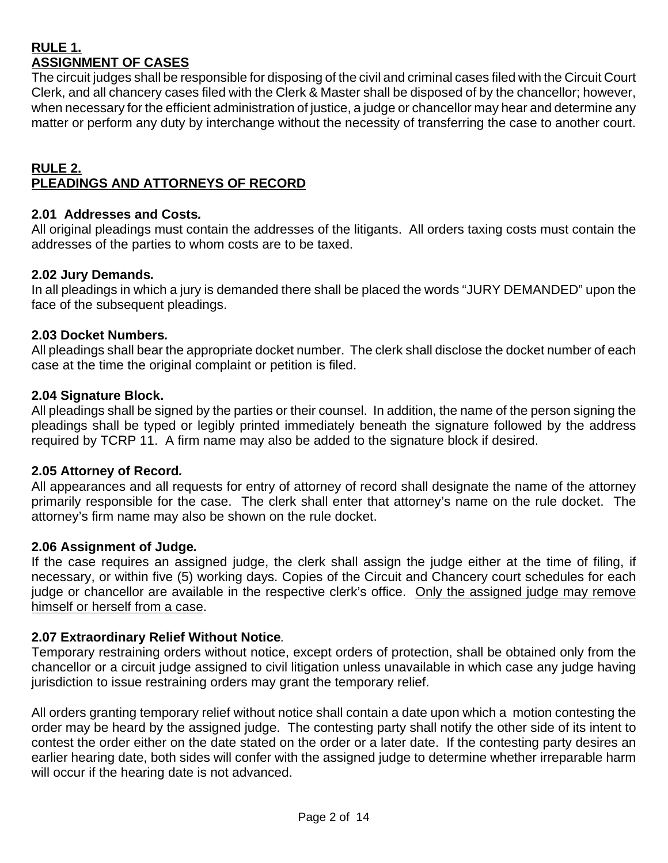# **RULE 1. ASSIGNMENT OF CASES**

The circuit judges shall be responsible for disposing of the civil and criminal cases filed with the Circuit Court Clerk, and all chancery cases filed with the Clerk & Master shall be disposed of by the chancellor; however, when necessary for the efficient administration of justice, a judge or chancellor may hear and determine any matter or perform any duty by interchange without the necessity of transferring the case to another court.

## **RULE 2. PLEADINGS AND ATTORNEYS OF RECORD**

# **2.01 Addresses and Costs***.*

All original pleadings must contain the addresses of the litigants. All orders taxing costs must contain the addresses of the parties to whom costs are to be taxed.

# **2.02 Jury Demands***.*

In all pleadings in which a jury is demanded there shall be placed the words "JURY DEMANDED" upon the face of the subsequent pleadings.

# **2.03 Docket Numbers***.*

All pleadings shall bear the appropriate docket number. The clerk shall disclose the docket number of each case at the time the original complaint or petition is filed.

## **2.04 Signature Block.**

All pleadings shall be signed by the parties or their counsel. In addition, the name of the person signing the pleadings shall be typed or legibly printed immediately beneath the signature followed by the address required by TCRP 11. A firm name may also be added to the signature block if desired.

# **2.05 Attorney of Record***.*

All appearances and all requests for entry of attorney of record shall designate the name of the attorney primarily responsible for the case. The clerk shall enter that attorney's name on the rule docket. The attorney's firm name may also be shown on the rule docket.

# **2.06 Assignment of Judge***.*

If the case requires an assigned judge, the clerk shall assign the judge either at the time of filing, if necessary, or within five (5) working days. Copies of the Circuit and Chancery court schedules for each judge or chancellor are available in the respective clerk's office. Only the assigned judge may remove himself or herself from a case.

# **2.07 Extraordinary Relief Without Notice***.*

Temporary restraining orders without notice, except orders of protection, shall be obtained only from the chancellor or a circuit judge assigned to civil litigation unless unavailable in which case any judge having jurisdiction to issue restraining orders may grant the temporary relief.

All orders granting temporary relief without notice shall contain a date upon which a motion contesting the order may be heard by the assigned judge. The contesting party shall notify the other side of its intent to contest the order either on the date stated on the order or a later date. If the contesting party desires an earlier hearing date, both sides will confer with the assigned judge to determine whether irreparable harm will occur if the hearing date is not advanced.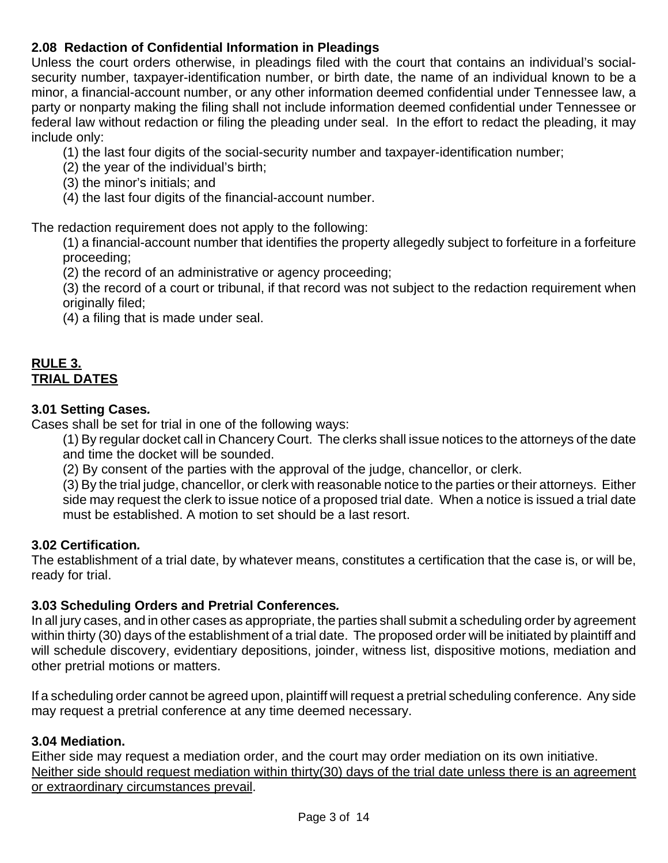# **2.08 Redaction of Confidential Information in Pleadings**

Unless the court orders otherwise, in pleadings filed with the court that contains an individual's socialsecurity number, taxpayer-identification number, or birth date, the name of an individual known to be a minor, a financial-account number, or any other information deemed confidential under Tennessee law, a party or nonparty making the filing shall not include information deemed confidential under Tennessee or federal law without redaction or filing the pleading under seal. In the effort to redact the pleading, it may include only:

- (1) the last four digits of the social-security number and taxpayer-identification number;
- (2) the year of the individual's birth;
- (3) the minor's initials; and
- (4) the last four digits of the financial-account number.

The redaction requirement does not apply to the following:

(1) a financial-account number that identifies the property allegedly subject to forfeiture in a forfeiture proceeding;

(2) the record of an administrative or agency proceeding;

(3) the record of a court or tribunal, if that record was not subject to the redaction requirement when originally filed;

(4) a filing that is made under seal.

# **RULE 3. TRIAL DATES**

# **3.01 Setting Cases***.*

Cases shall be set for trial in one of the following ways:

(1) By regular docket call in Chancery Court. The clerks shall issue notices to the attorneys of the date and time the docket will be sounded.

(2) By consent of the parties with the approval of the judge, chancellor, or clerk.

(3) By the trial judge, chancellor, or clerk with reasonable notice to the parties or their attorneys. Either side may request the clerk to issue notice of a proposed trial date. When a notice is issued a trial date must be established. A motion to set should be a last resort.

# **3.02 Certification***.*

The establishment of a trial date, by whatever means, constitutes a certification that the case is, or will be, ready for trial.

# **3.03 Scheduling Orders and Pretrial Conferences***.*

In all jury cases, and in other cases as appropriate, the parties shall submit a scheduling order by agreement within thirty (30) days of the establishment of a trial date. The proposed order will be initiated by plaintiff and will schedule discovery, evidentiary depositions, joinder, witness list, dispositive motions, mediation and other pretrial motions or matters.

If a scheduling order cannot be agreed upon, plaintiff will request a pretrial scheduling conference. Any side may request a pretrial conference at any time deemed necessary.

# **3.04 Mediation.**

Either side may request a mediation order, and the court may order mediation on its own initiative. Neither side should request mediation within thirty(30) days of the trial date unless there is an agreement or extraordinary circumstances prevail.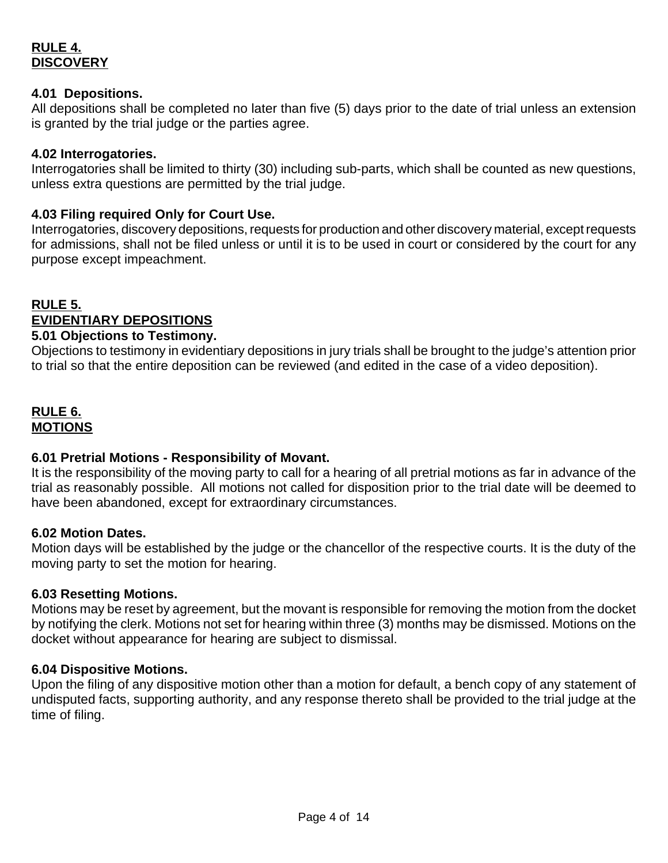# **RULE 4. DISCOVERY**

## **4.01 Depositions.**

All depositions shall be completed no later than five (5) days prior to the date of trial unless an extension is granted by the trial judge or the parties agree.

## **4.02 Interrogatories.**

Interrogatories shall be limited to thirty (30) including sub-parts, which shall be counted as new questions, unless extra questions are permitted by the trial judge.

## **4.03 Filing required Only for Court Use.**

Interrogatories, discovery depositions, requests for production and other discovery material, except requests for admissions, shall not be filed unless or until it is to be used in court or considered by the court for any purpose except impeachment.

# **RULE 5. EVIDENTIARY DEPOSITIONS**

## **5.01 Objections to Testimony.**

Objections to testimony in evidentiary depositions in jury trials shall be brought to the judge's attention prior to trial so that the entire deposition can be reviewed (and edited in the case of a video deposition).

# **RULE 6. MOTIONS**

# **6.01 Pretrial Motions - Responsibility of Movant.**

It is the responsibility of the moving party to call for a hearing of all pretrial motions as far in advance of the trial as reasonably possible. All motions not called for disposition prior to the trial date will be deemed to have been abandoned, except for extraordinary circumstances.

#### **6.02 Motion Dates.**

Motion days will be established by the judge or the chancellor of the respective courts. It is the duty of the moving party to set the motion for hearing.

# **6.03 Resetting Motions.**

Motions may be reset by agreement, but the movant is responsible for removing the motion from the docket by notifying the clerk. Motions not set for hearing within three (3) months may be dismissed. Motions on the docket without appearance for hearing are subject to dismissal.

# **6.04 Dispositive Motions.**

Upon the filing of any dispositive motion other than a motion for default, a bench copy of any statement of undisputed facts, supporting authority, and any response thereto shall be provided to the trial judge at the time of filing.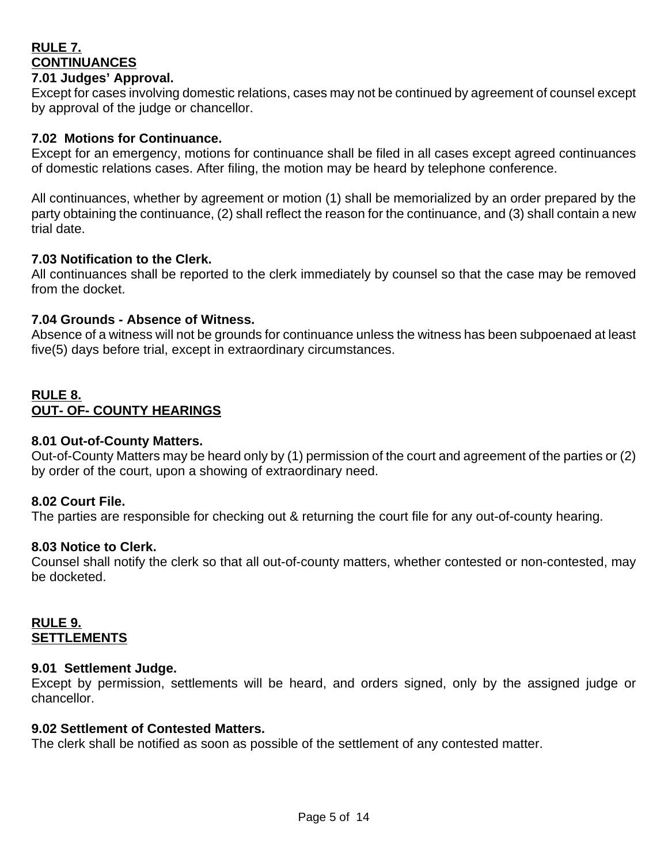# **RULE 7. CONTINUANCES**

## **7.01 Judges' Approval.**

Except for cases involving domestic relations, cases may not be continued by agreement of counsel except by approval of the judge or chancellor.

## **7.02 Motions for Continuance.**

Except for an emergency, motions for continuance shall be filed in all cases except agreed continuances of domestic relations cases. After filing, the motion may be heard by telephone conference.

All continuances, whether by agreement or motion (1) shall be memorialized by an order prepared by the party obtaining the continuance, (2) shall reflect the reason for the continuance, and (3) shall contain a new trial date.

## **7.03 Notification to the Clerk.**

All continuances shall be reported to the clerk immediately by counsel so that the case may be removed from the docket.

## **7.04 Grounds - Absence of Witness.**

Absence of a witness will not be grounds for continuance unless the witness has been subpoenaed at least five(5) days before trial, except in extraordinary circumstances.

# **RULE 8. OUT- OF- COUNTY HEARINGS**

# **8.01 Out-of-County Matters.**

Out-of-County Matters may be heard only by (1) permission of the court and agreement of the parties or (2) by order of the court, upon a showing of extraordinary need.

# **8.02 Court File.**

The parties are responsible for checking out & returning the court file for any out-of-county hearing.

#### **8.03 Notice to Clerk.**

Counsel shall notify the clerk so that all out-of-county matters, whether contested or non-contested, may be docketed.

## **RULE 9. SETTLEMENTS**

#### **9.01 Settlement Judge.**

Except by permission, settlements will be heard, and orders signed, only by the assigned judge or chancellor.

#### **9.02 Settlement of Contested Matters.**

The clerk shall be notified as soon as possible of the settlement of any contested matter.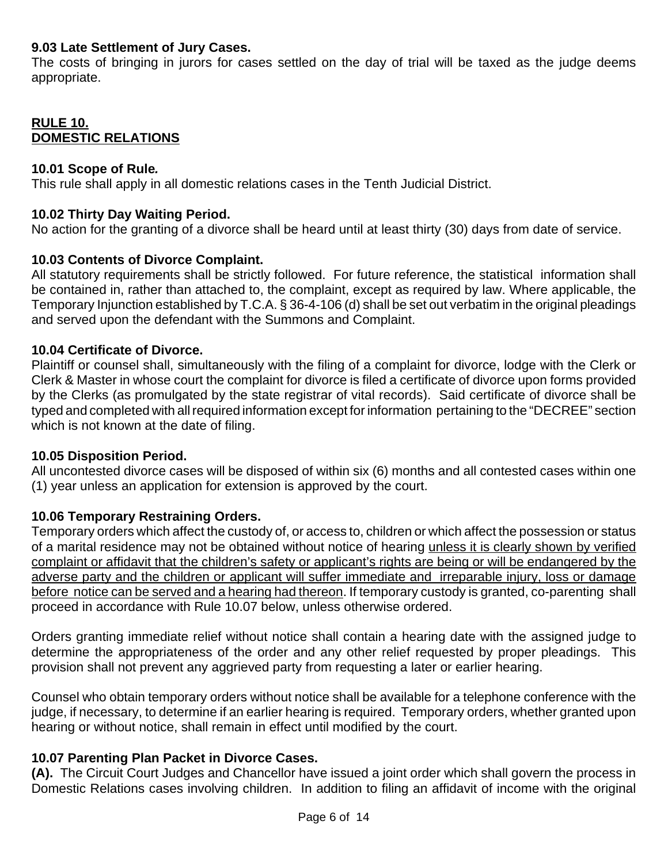# **9.03 Late Settlement of Jury Cases.**

The costs of bringing in jurors for cases settled on the day of trial will be taxed as the judge deems appropriate.

# **RULE 10. DOMESTIC RELATIONS**

## **10.01 Scope of Rule***.*

This rule shall apply in all domestic relations cases in the Tenth Judicial District.

# **10.02 Thirty Day Waiting Period.**

No action for the granting of a divorce shall be heard until at least thirty (30) days from date of service.

# **10.03 Contents of Divorce Complaint.**

All statutory requirements shall be strictly followed. For future reference, the statistical information shall be contained in, rather than attached to, the complaint, except as required by law. Where applicable, the Temporary Injunction established by T.C.A. § 36-4-106 (d) shall be set out verbatim in the original pleadings and served upon the defendant with the Summons and Complaint.

# **10.04 Certificate of Divorce.**

Plaintiff or counsel shall, simultaneously with the filing of a complaint for divorce, lodge with the Clerk or Clerk & Master in whose court the complaint for divorce is filed a certificate of divorce upon forms provided by the Clerks (as promulgated by the state registrar of vital records). Said certificate of divorce shall be typed and completed with all required information except for information pertaining to the "DECREE" section which is not known at the date of filing.

# **10.05 Disposition Period.**

All uncontested divorce cases will be disposed of within six (6) months and all contested cases within one (1) year unless an application for extension is approved by the court.

# **10.06 Temporary Restraining Orders.**

Temporary orders which affect the custody of, or access to, children or which affect the possession or status of a marital residence may not be obtained without notice of hearing unless it is clearly shown by verified complaint or affidavit that the children's safety or applicant's rights are being or will be endangered by the adverse party and the children or applicant will suffer immediate and irreparable injury, loss or damage before notice can be served and a hearing had thereon. If temporary custody is granted, co-parenting shall proceed in accordance with Rule 10.07 below, unless otherwise ordered.

Orders granting immediate relief without notice shall contain a hearing date with the assigned judge to determine the appropriateness of the order and any other relief requested by proper pleadings. This provision shall not prevent any aggrieved party from requesting a later or earlier hearing.

Counsel who obtain temporary orders without notice shall be available for a telephone conference with the judge, if necessary, to determine if an earlier hearing is required. Temporary orders, whether granted upon hearing or without notice, shall remain in effect until modified by the court.

# **10.07 Parenting Plan Packet in Divorce Cases.**

**(A).** The Circuit Court Judges and Chancellor have issued a joint order which shall govern the process in Domestic Relations cases involving children. In addition to filing an affidavit of income with the original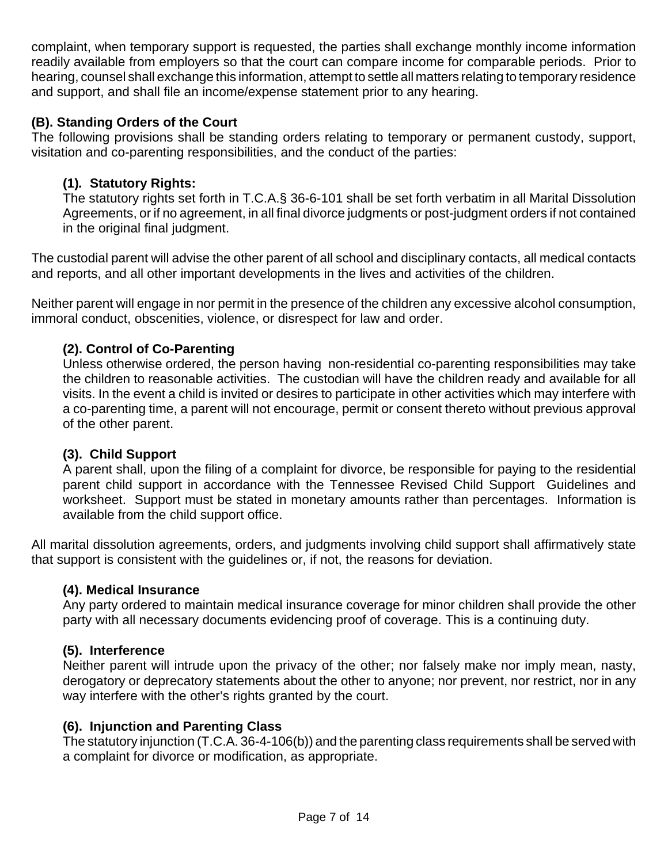complaint, when temporary support is requested, the parties shall exchange monthly income information readily available from employers so that the court can compare income for comparable periods. Prior to hearing, counsel shall exchange this information, attempt to settle all matters relating to temporary residence and support, and shall file an income/expense statement prior to any hearing.

# **(B). Standing Orders of the Court**

The following provisions shall be standing orders relating to temporary or permanent custody, support, visitation and co-parenting responsibilities, and the conduct of the parties:

# **(1)***.* **Statutory Rights:**

The statutory rights set forth in T.C.A.§ 36-6-101 shall be set forth verbatim in all Marital Dissolution Agreements, or if no agreement, in all final divorce judgments or post-judgment orders if not contained in the original final judgment.

The custodial parent will advise the other parent of all school and disciplinary contacts, all medical contacts and reports, and all other important developments in the lives and activities of the children.

Neither parent will engage in nor permit in the presence of the children any excessive alcohol consumption, immoral conduct, obscenities, violence, or disrespect for law and order.

# **(2). Control of Co-Parenting**

Unless otherwise ordered, the person having non-residential co-parenting responsibilities may take the children to reasonable activities. The custodian will have the children ready and available for all visits. In the event a child is invited or desires to participate in other activities which may interfere with a co-parenting time, a parent will not encourage, permit or consent thereto without previous approval of the other parent.

# **(3). Child Support**

A parent shall, upon the filing of a complaint for divorce, be responsible for paying to the residential parent child support in accordance with the Tennessee Revised Child Support Guidelines and worksheet. Support must be stated in monetary amounts rather than percentages. Information is available from the child support office.

All marital dissolution agreements, orders, and judgments involving child support shall affirmatively state that support is consistent with the guidelines or, if not, the reasons for deviation.

# **(4). Medical Insurance**

Any party ordered to maintain medical insurance coverage for minor children shall provide the other party with all necessary documents evidencing proof of coverage. This is a continuing duty.

# **(5). Interference**

Neither parent will intrude upon the privacy of the other; nor falsely make nor imply mean, nasty, derogatory or deprecatory statements about the other to anyone; nor prevent, nor restrict, nor in any way interfere with the other's rights granted by the court.

# **(6). Injunction and Parenting Class**

The statutory injunction (T.C.A. 36-4-106(b)) and the parenting class requirements shall be served with a complaint for divorce or modification, as appropriate.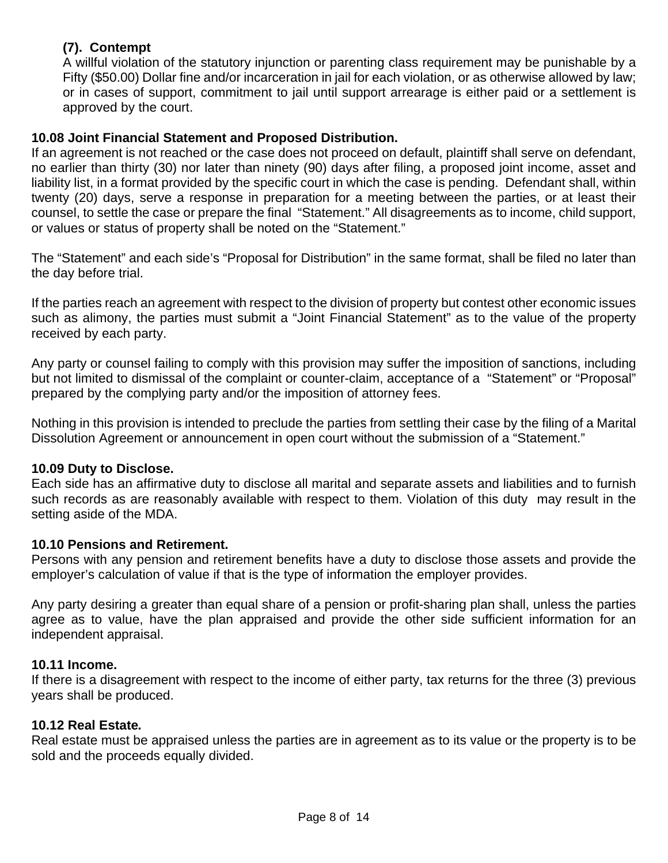# **(7). Contempt**

A willful violation of the statutory injunction or parenting class requirement may be punishable by a Fifty (\$50.00) Dollar fine and/or incarceration in jail for each violation, or as otherwise allowed by law; or in cases of support, commitment to jail until support arrearage is either paid or a settlement is approved by the court.

# **10.08 Joint Financial Statement and Proposed Distribution.**

If an agreement is not reached or the case does not proceed on default, plaintiff shall serve on defendant, no earlier than thirty (30) nor later than ninety (90) days after filing, a proposed joint income, asset and liability list, in a format provided by the specific court in which the case is pending. Defendant shall, within twenty (20) days, serve a response in preparation for a meeting between the parties, or at least their counsel, to settle the case or prepare the final "Statement." All disagreements as to income, child support, or values or status of property shall be noted on the "Statement."

The "Statement" and each side's "Proposal for Distribution" in the same format, shall be filed no later than the day before trial.

If the parties reach an agreement with respect to the division of property but contest other economic issues such as alimony, the parties must submit a "Joint Financial Statement" as to the value of the property received by each party.

Any party or counsel failing to comply with this provision may suffer the imposition of sanctions, including but not limited to dismissal of the complaint or counter-claim, acceptance of a "Statement" or "Proposal" prepared by the complying party and/or the imposition of attorney fees.

Nothing in this provision is intended to preclude the parties from settling their case by the filing of a Marital Dissolution Agreement or announcement in open court without the submission of a "Statement."

# **10.09 Duty to Disclose.**

Each side has an affirmative duty to disclose all marital and separate assets and liabilities and to furnish such records as are reasonably available with respect to them. Violation of this duty may result in the setting aside of the MDA.

# **10.10 Pensions and Retirement.**

Persons with any pension and retirement benefits have a duty to disclose those assets and provide the employer's calculation of value if that is the type of information the employer provides.

Any party desiring a greater than equal share of a pension or profit-sharing plan shall, unless the parties agree as to value, have the plan appraised and provide the other side sufficient information for an independent appraisal.

# **10.11 Income.**

If there is a disagreement with respect to the income of either party, tax returns for the three (3) previous years shall be produced.

# **10.12 Real Estate***.*

Real estate must be appraised unless the parties are in agreement as to its value or the property is to be sold and the proceeds equally divided.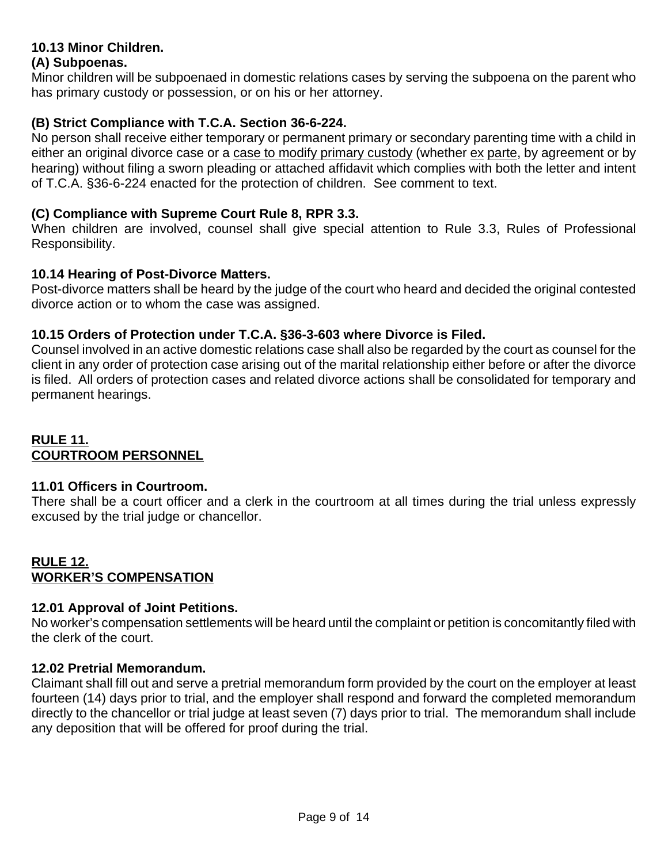# **10.13 Minor Children.**

# **(A) Subpoenas.**

Minor children will be subpoenaed in domestic relations cases by serving the subpoena on the parent who has primary custody or possession, or on his or her attorney.

# **(B) Strict Compliance with T.C.A. Section 36-6-224.**

No person shall receive either temporary or permanent primary or secondary parenting time with a child in either an original divorce case or a case to modify primary custody (whether ex parte, by agreement or by hearing) without filing a sworn pleading or attached affidavit which complies with both the letter and intent of T.C.A. §36-6-224 enacted for the protection of children. See comment to text.

# **(C) Compliance with Supreme Court Rule 8, RPR 3.3.**

When children are involved, counsel shall give special attention to Rule 3.3, Rules of Professional Responsibility.

## **10.14 Hearing of Post-Divorce Matters.**

Post-divorce matters shall be heard by the judge of the court who heard and decided the original contested divorce action or to whom the case was assigned.

# **10.15 Orders of Protection under T.C.A. §36-3-603 where Divorce is Filed.**

Counsel involved in an active domestic relations case shall also be regarded by the court as counsel for the client in any order of protection case arising out of the marital relationship either before or after the divorce is filed. All orders of protection cases and related divorce actions shall be consolidated for temporary and permanent hearings.

# **RULE 11. COURTROOM PERSONNEL**

# **11.01 Officers in Courtroom.**

There shall be a court officer and a clerk in the courtroom at all times during the trial unless expressly excused by the trial judge or chancellor.

# **RULE 12. WORKER'S COMPENSATION**

# **12.01 Approval of Joint Petitions.**

No worker's compensation settlements will be heard until the complaint or petition is concomitantly filed with the clerk of the court.

# **12.02 Pretrial Memorandum.**

Claimant shall fill out and serve a pretrial memorandum form provided by the court on the employer at least fourteen (14) days prior to trial, and the employer shall respond and forward the completed memorandum directly to the chancellor or trial judge at least seven (7) days prior to trial. The memorandum shall include any deposition that will be offered for proof during the trial.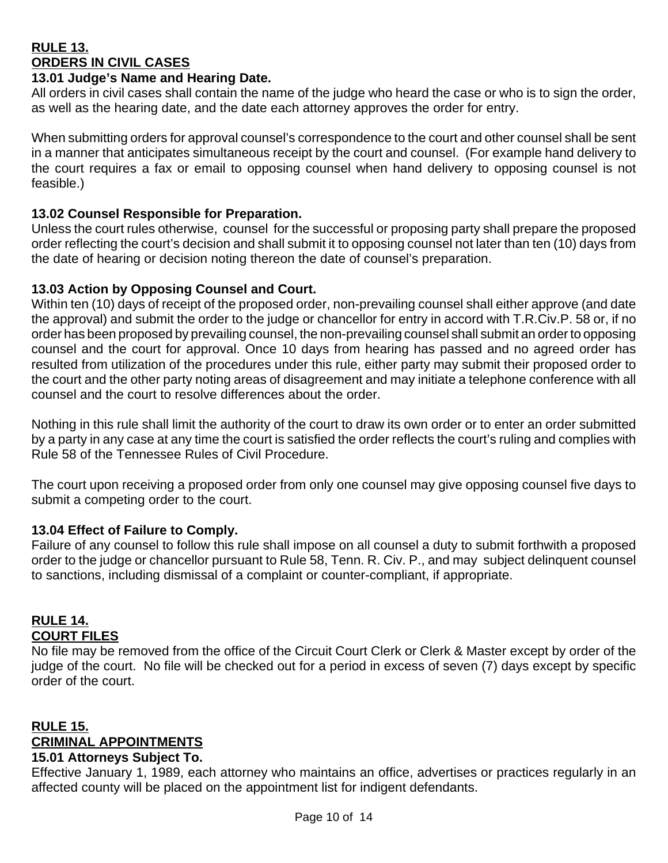# **RULE 13. ORDERS IN CIVIL CASES**

# **13.01 Judge's Name and Hearing Date.**

All orders in civil cases shall contain the name of the judge who heard the case or who is to sign the order, as well as the hearing date, and the date each attorney approves the order for entry.

When submitting orders for approval counsel's correspondence to the court and other counsel shall be sent in a manner that anticipates simultaneous receipt by the court and counsel. (For example hand delivery to the court requires a fax or email to opposing counsel when hand delivery to opposing counsel is not feasible.)

## **13.02 Counsel Responsible for Preparation.**

Unless the court rules otherwise, counsel for the successful or proposing party shall prepare the proposed order reflecting the court's decision and shall submit it to opposing counsel not later than ten (10) days from the date of hearing or decision noting thereon the date of counsel's preparation.

## **13.03 Action by Opposing Counsel and Court.**

Within ten (10) days of receipt of the proposed order, non-prevailing counsel shall either approve (and date the approval) and submit the order to the judge or chancellor for entry in accord with T.R.Civ.P. 58 or, if no order has been proposed by prevailing counsel, the non-prevailing counsel shall submit an order to opposing counsel and the court for approval. Once 10 days from hearing has passed and no agreed order has resulted from utilization of the procedures under this rule, either party may submit their proposed order to the court and the other party noting areas of disagreement and may initiate a telephone conference with all counsel and the court to resolve differences about the order.

Nothing in this rule shall limit the authority of the court to draw its own order or to enter an order submitted by a party in any case at any time the court is satisfied the order reflects the court's ruling and complies with Rule 58 of the Tennessee Rules of Civil Procedure.

The court upon receiving a proposed order from only one counsel may give opposing counsel five days to submit a competing order to the court.

# **13.04 Effect of Failure to Comply.**

Failure of any counsel to follow this rule shall impose on all counsel a duty to submit forthwith a proposed order to the judge or chancellor pursuant to Rule 58, Tenn. R. Civ. P., and may subject delinquent counsel to sanctions, including dismissal of a complaint or counter-compliant, if appropriate.

#### **RULE 14. COURT FILES**

No file may be removed from the office of the Circuit Court Clerk or Clerk & Master except by order of the judge of the court. No file will be checked out for a period in excess of seven (7) days except by specific order of the court.

#### **RULE 15. CRIMINAL APPOINTMENTS 15.01 Attorneys Subject To.**

Effective January 1, 1989, each attorney who maintains an office, advertises or practices regularly in an affected county will be placed on the appointment list for indigent defendants.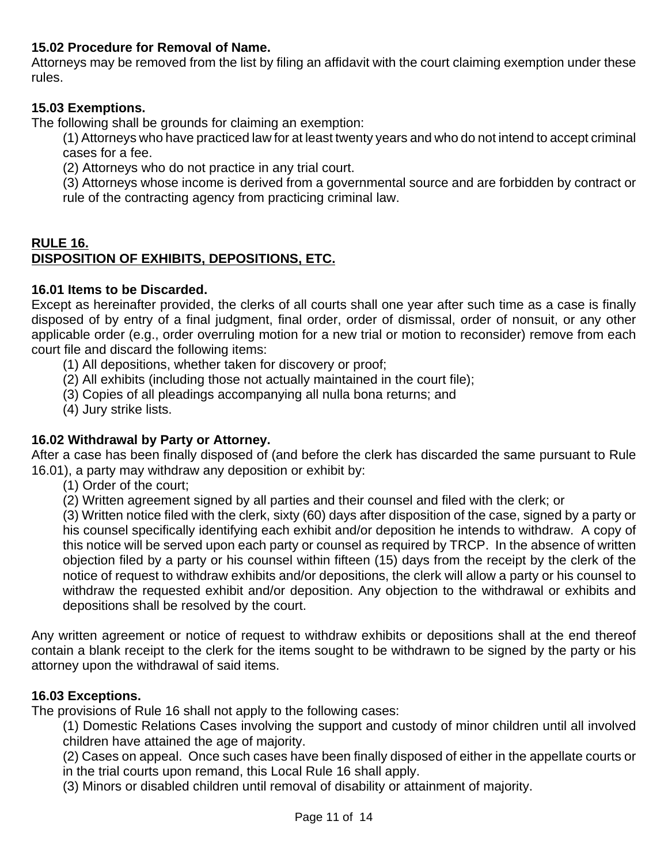# **15.02 Procedure for Removal of Name.**

Attorneys may be removed from the list by filing an affidavit with the court claiming exemption under these rules.

# **15.03 Exemptions.**

The following shall be grounds for claiming an exemption:

(1) Attorneys who have practiced law for at least twenty years and who do not intend to accept criminal cases for a fee.

(2) Attorneys who do not practice in any trial court.

(3) Attorneys whose income is derived from a governmental source and are forbidden by contract or rule of the contracting agency from practicing criminal law.

# **RULE 16. DISPOSITION OF EXHIBITS, DEPOSITIONS, ETC.**

# **16.01 Items to be Discarded.**

Except as hereinafter provided, the clerks of all courts shall one year after such time as a case is finally disposed of by entry of a final judgment, final order, order of dismissal, order of nonsuit, or any other applicable order (e.g., order overruling motion for a new trial or motion to reconsider) remove from each court file and discard the following items:

(1) All depositions, whether taken for discovery or proof;

- (2) All exhibits (including those not actually maintained in the court file);
- (3) Copies of all pleadings accompanying all nulla bona returns; and
- (4) Jury strike lists.

# **16.02 Withdrawal by Party or Attorney.**

After a case has been finally disposed of (and before the clerk has discarded the same pursuant to Rule 16.01), a party may withdraw any deposition or exhibit by:

- (1) Order of the court;
- (2) Written agreement signed by all parties and their counsel and filed with the clerk; or

(3) Written notice filed with the clerk, sixty (60) days after disposition of the case, signed by a party or his counsel specifically identifying each exhibit and/or deposition he intends to withdraw. A copy of this notice will be served upon each party or counsel as required by TRCP. In the absence of written objection filed by a party or his counsel within fifteen (15) days from the receipt by the clerk of the notice of request to withdraw exhibits and/or depositions, the clerk will allow a party or his counsel to withdraw the requested exhibit and/or deposition. Any objection to the withdrawal or exhibits and depositions shall be resolved by the court.

Any written agreement or notice of request to withdraw exhibits or depositions shall at the end thereof contain a blank receipt to the clerk for the items sought to be withdrawn to be signed by the party or his attorney upon the withdrawal of said items.

# **16.03 Exceptions.**

The provisions of Rule 16 shall not apply to the following cases:

(1) Domestic Relations Cases involving the support and custody of minor children until all involved children have attained the age of majority.

(2) Cases on appeal. Once such cases have been finally disposed of either in the appellate courts or in the trial courts upon remand, this Local Rule 16 shall apply.

(3) Minors or disabled children until removal of disability or attainment of majority.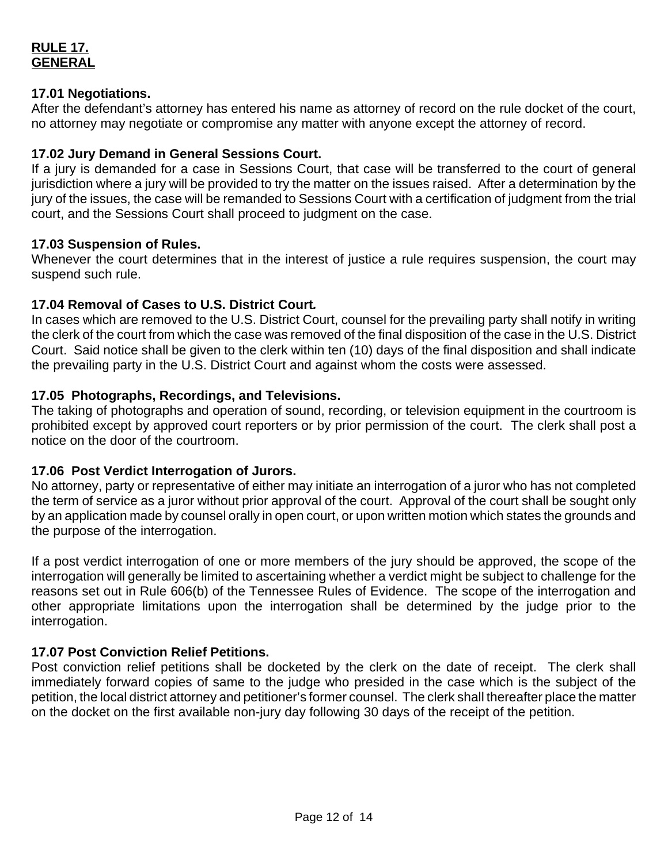# **RULE 17. GENERAL**

## **17.01 Negotiations.**

After the defendant's attorney has entered his name as attorney of record on the rule docket of the court, no attorney may negotiate or compromise any matter with anyone except the attorney of record.

## **17.02 Jury Demand in General Sessions Court.**

If a jury is demanded for a case in Sessions Court, that case will be transferred to the court of general jurisdiction where a jury will be provided to try the matter on the issues raised. After a determination by the jury of the issues, the case will be remanded to Sessions Court with a certification of judgment from the trial court, and the Sessions Court shall proceed to judgment on the case.

#### **17.03 Suspension of Rules.**

Whenever the court determines that in the interest of justice a rule requires suspension, the court may suspend such rule.

## **17.04 Removal of Cases to U.S. District Court***.*

In cases which are removed to the U.S. District Court, counsel for the prevailing party shall notify in writing the clerk of the court from which the case was removed of the final disposition of the case in the U.S. District Court. Said notice shall be given to the clerk within ten (10) days of the final disposition and shall indicate the prevailing party in the U.S. District Court and against whom the costs were assessed.

## **17.05 Photographs, Recordings, and Televisions.**

The taking of photographs and operation of sound, recording, or television equipment in the courtroom is prohibited except by approved court reporters or by prior permission of the court. The clerk shall post a notice on the door of the courtroom.

#### **17.06 Post Verdict Interrogation of Jurors.**

No attorney, party or representative of either may initiate an interrogation of a juror who has not completed the term of service as a juror without prior approval of the court. Approval of the court shall be sought only by an application made by counsel orally in open court, or upon written motion which states the grounds and the purpose of the interrogation.

If a post verdict interrogation of one or more members of the jury should be approved, the scope of the interrogation will generally be limited to ascertaining whether a verdict might be subject to challenge for the reasons set out in Rule 606(b) of the Tennessee Rules of Evidence. The scope of the interrogation and other appropriate limitations upon the interrogation shall be determined by the judge prior to the interrogation.

# **17.07 Post Conviction Relief Petitions.**

Post conviction relief petitions shall be docketed by the clerk on the date of receipt. The clerk shall immediately forward copies of same to the judge who presided in the case which is the subject of the petition, the local district attorney and petitioner's former counsel. The clerk shall thereafter place the matter on the docket on the first available non-jury day following 30 days of the receipt of the petition.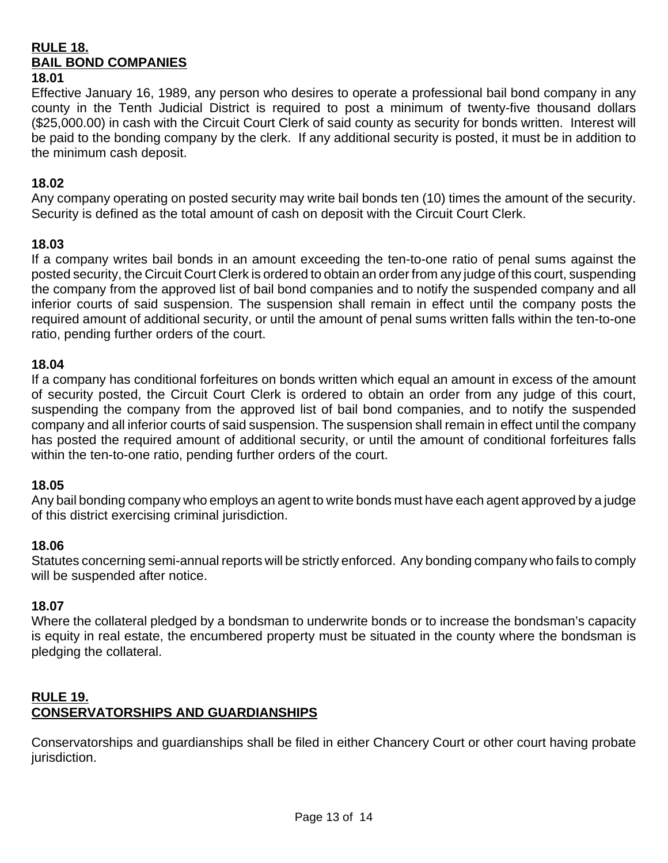#### **RULE 18. BAIL BOND COMPANIES 18.01**

## Effective January 16, 1989, any person who desires to operate a professional bail bond company in any county in the Tenth Judicial District is required to post a minimum of twenty-five thousand dollars (\$25,000.00) in cash with the Circuit Court Clerk of said county as security for bonds written. Interest will be paid to the bonding company by the clerk. If any additional security is posted, it must be in addition to the minimum cash deposit.

## **18.02**

Any company operating on posted security may write bail bonds ten (10) times the amount of the security. Security is defined as the total amount of cash on deposit with the Circuit Court Clerk.

## **18.03**

If a company writes bail bonds in an amount exceeding the ten-to-one ratio of penal sums against the posted security, the Circuit Court Clerk is ordered to obtain an order from any judge of this court, suspending the company from the approved list of bail bond companies and to notify the suspended company and all inferior courts of said suspension. The suspension shall remain in effect until the company posts the required amount of additional security, or until the amount of penal sums written falls within the ten-to-one ratio, pending further orders of the court.

#### **18.04**

If a company has conditional forfeitures on bonds written which equal an amount in excess of the amount of security posted, the Circuit Court Clerk is ordered to obtain an order from any judge of this court, suspending the company from the approved list of bail bond companies, and to notify the suspended company and all inferior courts of said suspension. The suspension shall remain in effect until the company has posted the required amount of additional security, or until the amount of conditional forfeitures falls within the ten-to-one ratio, pending further orders of the court.

# **18.05**

Any bail bonding company who employs an agent to write bonds must have each agent approved by a judge of this district exercising criminal jurisdiction.

# **18.06**

Statutes concerning semi-annual reports will be strictly enforced. Any bonding company who fails to comply will be suspended after notice.

## **18.07**

Where the collateral pledged by a bondsman to underwrite bonds or to increase the bondsman's capacity is equity in real estate, the encumbered property must be situated in the county where the bondsman is pledging the collateral.

# **RULE 19. CONSERVATORSHIPS AND GUARDIANSHIPS**

Conservatorships and guardianships shall be filed in either Chancery Court or other court having probate jurisdiction.